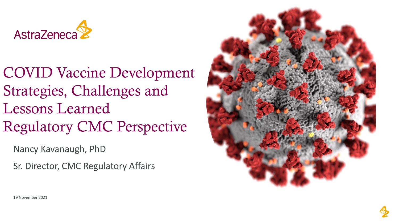

COVID Vaccine Development Strategies, Challenges and Lessons Learned Regulatory CMC Perspective

Nancy Kavanaugh, PhD

Sr. Director, CMC Regulatory Affairs



19 November 2021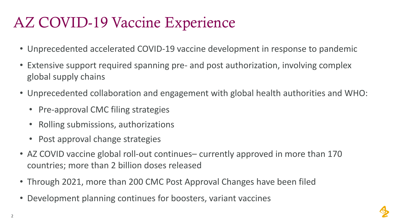# AZ COVID-19 Vaccine Experience

- Unprecedented accelerated COVID-19 vaccine development in response to pandemic
- Extensive support required spanning pre- and post authorization, involving complex global supply chains
- Unprecedented collaboration and engagement with global health authorities and WHO:
	- Pre-approval CMC filing strategies
	- Rolling submissions, authorizations
	- Post approval change strategies
- AZ COVID vaccine global roll-out continues– currently approved in more than 170 countries; more than 2 billion doses released
- Through 2021, more than 200 CMC Post Approval Changes have been filed
- Development planning continues for boosters, variant vaccines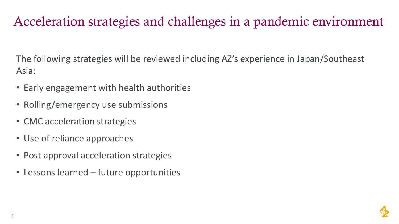### Acceleration strategies and challenges in a pandemic environment

The following strategies will be reviewed including AZ's experience in Japan/Southeast Asia:

- Early engagement with health authorities
- Rolling/emergency use submissions
- CMC acceleration strategies
- Use of reliance approaches
- Post approval acceleration strategies
- Lessons learned future opportunities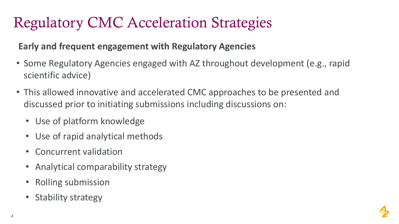# Regulatory CMC Acceleration Strategies

### **Early and frequent engagement with Regulatory Agencies**

- Some Regulatory Agencies engaged with AZ throughout development (e.g., rapid scientific advice)
- This allowed innovative and accelerated CMC approaches to be presented and discussed prior to initiating submissions including discussions on:
	- Use of platform knowledge
	- Use of rapid analytical methods
	- Concurrent validation
	- Analytical comparability strategy
	- Rolling submission
	- Stability strategy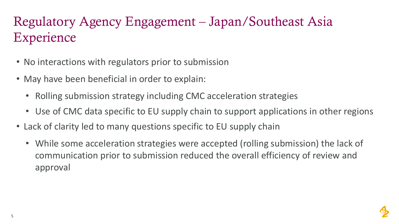### Regulatory Agency Engagement – Japan/Southeast Asia **Experience**

- No interactions with regulators prior to submission
- May have been beneficial in order to explain:
	- Rolling submission strategy including CMC acceleration strategies
	- Use of CMC data specific to EU supply chain to support applications in other regions
- Lack of clarity led to many questions specific to EU supply chain
	- While some acceleration strategies were accepted (rolling submission) the lack of communication prior to submission reduced the overall efficiency of review and approval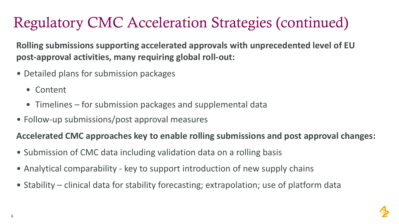# Regulatory CMC Acceleration Strategies (continued)

**Rolling submissions supporting accelerated approvals with unprecedented level of EU post-approval activities, many requiring global roll-out:**

- Detailed plans for submission packages
	- Content
	- Timelines for submission packages and supplemental data
- Follow-up submissions/post approval measures

#### **Accelerated CMC approaches key to enable rolling submissions and post approval changes:**

- Submission of CMC data including validation data on a rolling basis
- Analytical comparability key to support introduction of new supply chains
- Stability clinical data for stability forecasting; extrapolation; use of platform data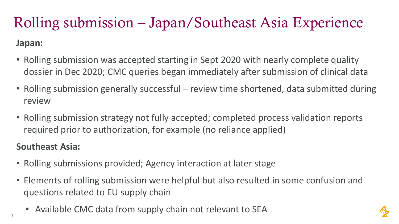# Rolling submission – Japan/Southeast Asia Experience

#### **Japan:**

- Rolling submission was accepted starting in Sept 2020 with nearly complete quality dossier in Dec 2020; CMC queries began immediately after submission of clinical data
- Rolling submission generally successful review time shortened, data submitted during review
- Rolling submission strategy not fully accepted; completed process validation reports required prior to authorization, for example (no reliance applied)

### **Southeast Asia:**

- Rolling submissions provided; Agency interaction at later stage
- Elements of rolling submission were helpful but also resulted in some confusion and questions related to EU supply chain
	- Available CMC data from supply chain not relevant to SEA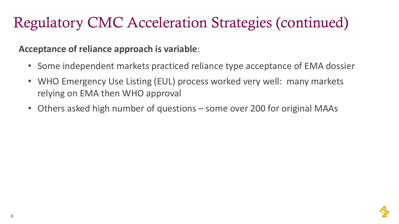# Regulatory CMC Acceleration Strategies (continued)

#### **Acceptance of reliance approach is variable**:

- Some independent markets practiced reliance type acceptance of EMA dossier
- WHO Emergency Use Listing (EUL) process worked very well: many markets relying on EMA then WHO approval
- Others asked high number of questions some over 200 for original MAAs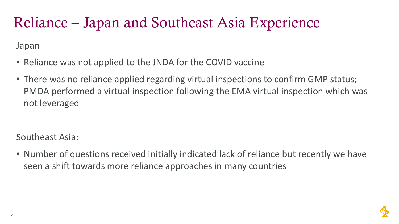## Reliance – Japan and Southeast Asia Experience

Japan

- Reliance was not applied to the JNDA for the COVID vaccine
- There was no reliance applied regarding virtual inspections to confirm GMP status; PMDA performed a virtual inspection following the EMA virtual inspection which was not leveraged

Southeast Asia:

• Number of questions received initially indicated lack of reliance but recently we have seen a shift towards more reliance approaches in many countries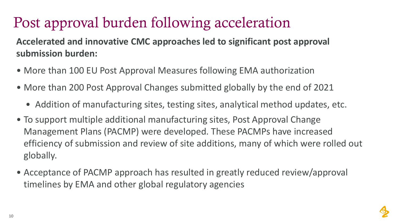# Post approval burden following acceleration

**Accelerated and innovative CMC approaches led to significant post approval submission burden:** 

- More than 100 EU Post Approval Measures following EMA authorization
- More than 200 Post Approval Changes submitted globally by the end of 2021
	- Addition of manufacturing sites, testing sites, analytical method updates, etc.
- To support multiple additional manufacturing sites, Post Approval Change Management Plans (PACMP) were developed. These PACMPs have increased efficiency of submission and review of site additions, many of which were rolled out globally.
- Acceptance of PACMP approach has resulted in greatly reduced review/approval timelines by EMA and other global regulatory agencies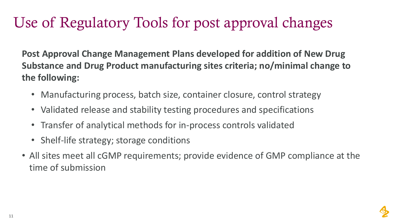# Use of Regulatory Tools for post approval changes

**Post Approval Change Management Plans developed for addition of New Drug Substance and Drug Product manufacturing sites criteria; no/minimal change to the following:**

- Manufacturing process, batch size, container closure, control strategy
- Validated release and stability testing procedures and specifications
- Transfer of analytical methods for in-process controls validated
- Shelf-life strategy; storage conditions
- All sites meet all cGMP requirements; provide evidence of GMP compliance at the time of submission

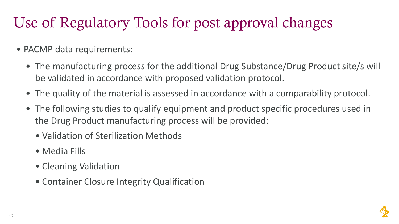# Use of Regulatory Tools for post approval changes

- PACMP data requirements:
	- The manufacturing process for the additional Drug Substance/Drug Product site/s will be validated in accordance with proposed validation protocol.
	- The quality of the material is assessed in accordance with a comparability protocol.
	- The following studies to qualify equipment and product specific procedures used in the Drug Product manufacturing process will be provided:
		- Validation of Sterilization Methods
		- Media Fills
		- Cleaning Validation
		- Container Closure Integrity Qualification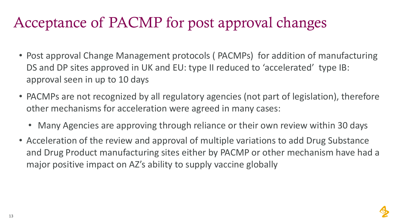### Acceptance of PACMP for post approval changes

- Post approval Change Management protocols ( PACMPs) for addition of manufacturing DS and DP sites approved in UK and EU: type II reduced to 'accelerated' type IB: approval seen in up to 10 days
- PACMPs are not recognized by all regulatory agencies (not part of legislation), therefore other mechanisms for acceleration were agreed in many cases:
	- Many Agencies are approving through reliance or their own review within 30 days
- Acceleration of the review and approval of multiple variations to add Drug Substance and Drug Product manufacturing sites either by PACMP or other mechanism have had a major positive impact on AZ's ability to supply vaccine globally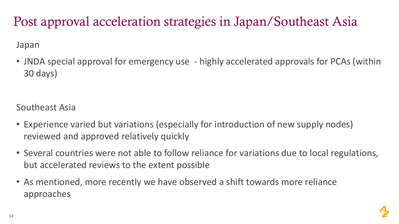### Post approval acceleration strategies in Japan/Southeast Asia

#### Japan

• JNDA special approval for emergency use - highly accelerated approvals for PCAs (within 30 days)

Southeast Asia

- Experience varied but variations (especially for introduction of new supply nodes) reviewed and approved relatively quickly
- Several countries were not able to follow reliance for variations due to local regulations, but accelerated reviews to the extent possible
- As mentioned, more recently we have observed a shift towards more reliance approaches